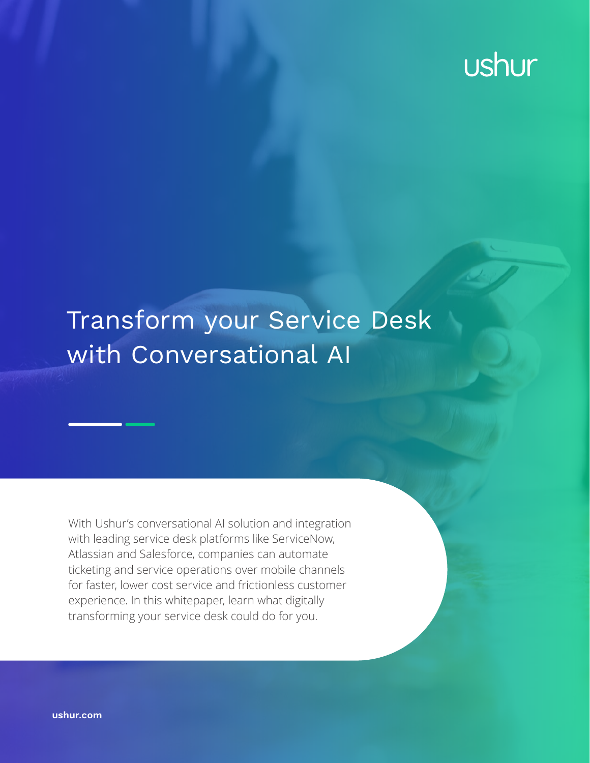# ushur

## Transform your Service Desk with Conversational AI

With Ushur's conversational AI solution and integration with leading service desk platforms like ServiceNow, Atlassian and Salesforce, companies can automate ticketing and service operations over mobile channels for faster, lower cost service and frictionless customer experience. In this whitepaper, learn what digitally transforming your service desk could do for you.

**[ushur.com](http://ushur.com)**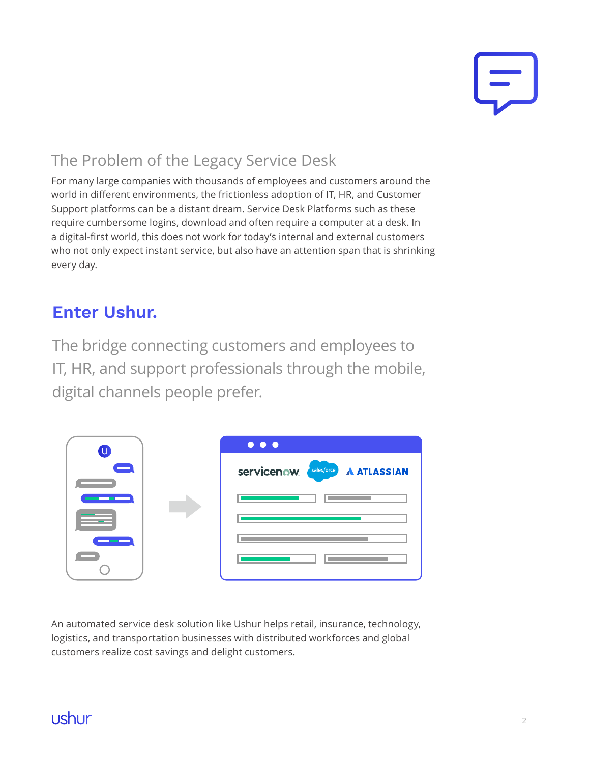

## The Problem of the Legacy Service Desk

For many large companies with thousands of employees and customers around the world in different environments, the frictionless adoption of IT, HR, and Customer Support platforms can be a distant dream. Service Desk Platforms such as these require cumbersome logins, download and often require a computer at a desk. In a digital-first world, this does not work for today's internal and external customers who not only expect instant service, but also have an attention span that is shrinking every day.

## **Enter Ushur.**

The bridge connecting customers and employees to IT, HR, and support professionals through the mobile, digital channels people prefer.

|  |  | $\bullet\bullet\bullet$           |
|--|--|-----------------------------------|
|  |  | Servicenow salesforce A ATLASSIAN |
|  |  |                                   |
|  |  |                                   |
|  |  |                                   |
|  |  |                                   |

An automated service desk solution like Ushur helps retail, insurance, technology, logistics, and transportation businesses with distributed workforces and global customers realize cost savings and delight customers.

## ushur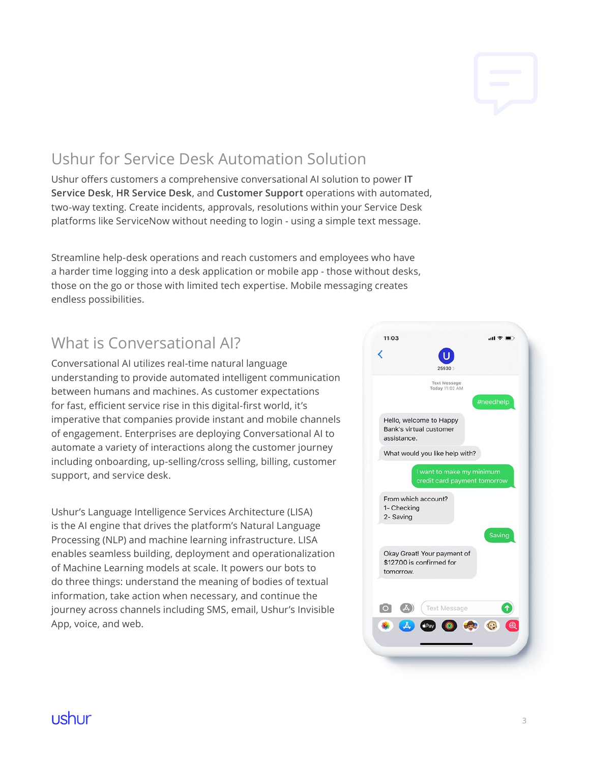## Ushur for Service Desk Automation Solution

Ushur offers customers a comprehensive conversational AI solution to power **IT Service Desk**, **HR Service Desk**, and **Customer Support** operations with automated, two-way texting. Create incidents, approvals, resolutions within your Service Desk platforms like ServiceNow without needing to login - using a simple text message.

Streamline help-desk operations and reach customers and employees who have a harder time logging into a desk application or mobile app - those without desks, those on the go or those with limited tech expertise. Mobile messaging creates endless possibilities.

## What is Conversational AI?

Conversational AI utilizes real-time natural language understanding to provide automated intelligent communication between humans and machines. As customer expectations for fast, efficient service rise in this digital-first world, it's imperative that companies provide instant and mobile channels of engagement. Enterprises are deploying Conversational AI to automate a variety of interactions along the customer journey including onboarding, up-selling/cross selling, billing, customer support, and service desk.

Ushur's Language Intelligence Services Architecture (LISA) is the AI engine that drives the platform's Natural Language Processing (NLP) and machine learning infrastructure. LISA enables seamless building, deployment and operationalization of Machine Learning models at scale. It powers our bots to do three things: understand the meaning of bodies of textual information, take action when necessary, and continue the journey across channels including SMS, email, Ushur's Invisible App, voice, and web.



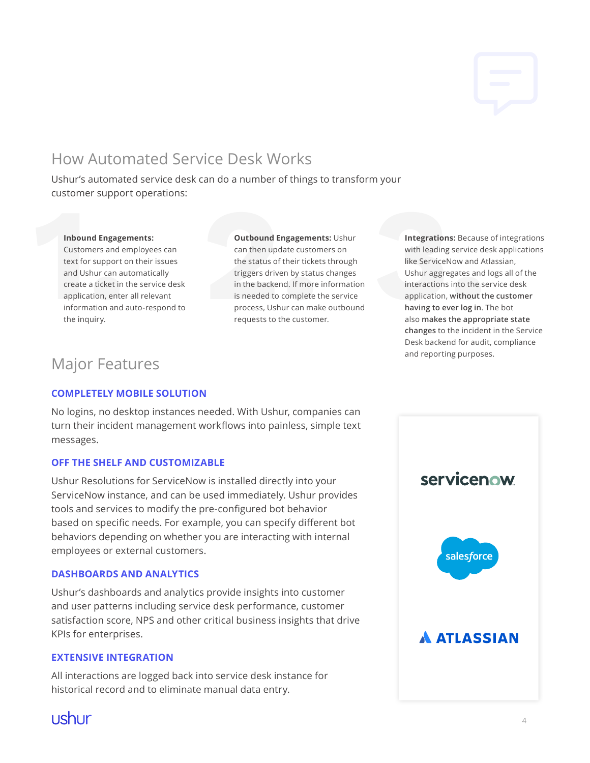## How Automated Service Desk Works

Ushur's automated service desk can do a number of things to transform your customer support operations:

#### **Inbound Engagements:**

Customers and employees can text for support on their issues and Ushur can automatically create a ticket in the service desk application, enter all relevant information and auto-respond to **Inbound Engage**<br>Customers and e<br>text for support c<br>and Ushur can au<br>create a ticket in<br>application, enter<br>information and<br>the inquiry. the inquiry.

**Outbound Engagements:** Ushur can then update customers on the status of their tickets through triggers driven by status changes in the backend. If more information is needed to complete the service process, Ushur can make outbound **Outbound Engagemer**<br>can then update custor<br>the status of their ticke<br>triggers driven by statu<br>in the backend. If more<br>is needed to complete t<br>process, Ushur can mal<br>requests to the custom requests to the customer.

**Integrations:** Because of integrations with leading service desk applications like ServiceNow and Atlassian, Ushur aggregates and logs all of the interactions into the service desk application, **without the customer having to ever log in**. The bot also **makes the appropriate state changes** to the incident in the Service Desk backend for audit, compliance and reporting purposes. **Integrations:** Because<br>with leading service de<br>like ServiceNow and At<br>Ushur aggregates and<br>interactions into the se<br>application, without th<br>having to ever log in.<br>also makes the approp<br>changes to the incider

## Major Features

#### **COMPLETELY MOBILE SOLUTION**

No logins, no desktop instances needed. With Ushur, companies can turn their incident management workflows into painless, simple text messages.

#### **OFF THE SHELF AND CUSTOMIZABLE**

Ushur Resolutions for ServiceNow is installed directly into your ServiceNow instance, and can be used immediately. Ushur provides tools and services to modify the pre-configured bot behavior based on specific needs. For example, you can specify different bot behaviors depending on whether you are interacting with internal employees or external customers.

#### **DASHBOARDS AND ANALYTICS**

Ushur's dashboards and analytics provide insights into customer and user patterns including service desk performance, customer satisfaction score, NPS and other critical business insights that drive KPIs for enterprises.

#### **EXTENSIVE INTEGRATION**

All interactions are logged back into service desk instance for historical record and to eliminate manual data entry.



## ushur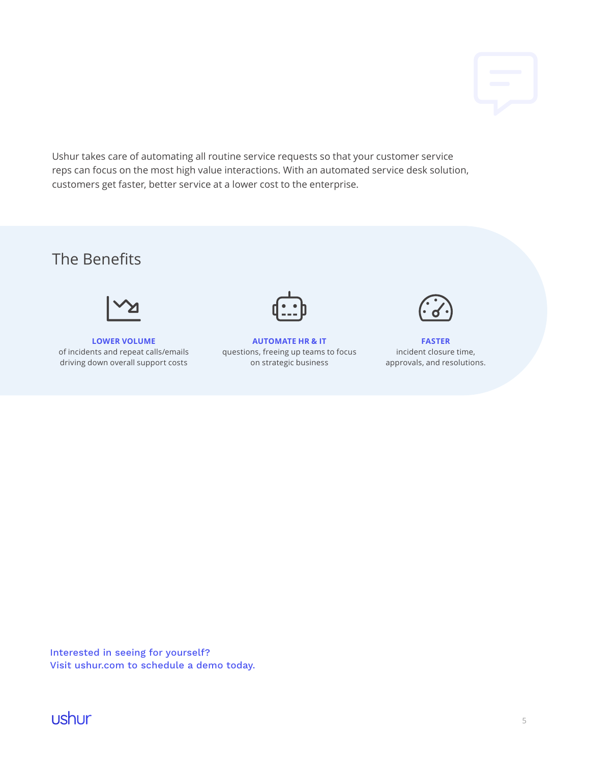Ushur takes care of automating all routine service requests so that your customer service reps can focus on the most high value interactions. With an automated service desk solution, customers get faster, better service at a lower cost to the enterprise.

## The Benefits



**LOWER VOLUME**  of incidents and repeat calls/emails driving down overall support costs



**AUTOMATE HR & IT**  questions, freeing up teams to focus on strategic business



**FASTER**  incident closure time, approvals, and resolutions.

Interested in seeing for yourself? [Visit ushur.com to schedule a demo today.](http://ushur.com/request-a-demo)

ushur